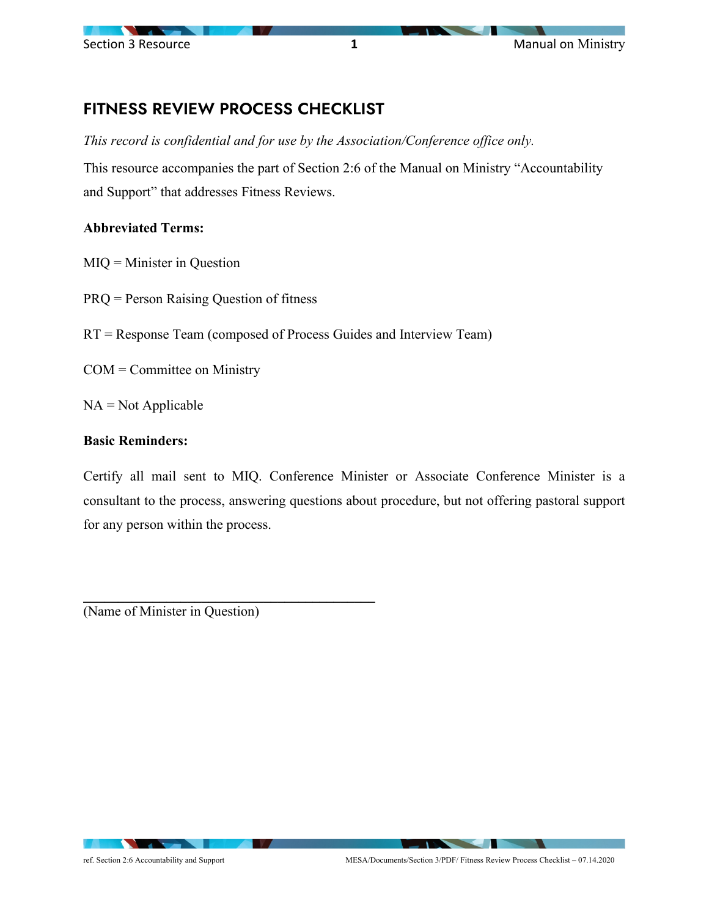

## FITNESS REVIEW PROCESS CHECKLIST

*This record is confidential and for use by the Association/Conference office only.* 

This resource accompanies the part of Section 2:6 of the Manual on Ministry "Accountability and Support" that addresses Fitness Reviews.

## **Abbreviated Terms:**

- MIQ = Minister in Question
- PRQ = Person Raising Question of fitness
- RT = Response Team (composed of Process Guides and Interview Team)
- COM = Committee on Ministry
- $NA = Not Applicable$

## **Basic Reminders:**

Certify all mail sent to MIQ. Conference Minister or Associate Conference Minister is a consultant to the process, answering questions about procedure, but not offering pastoral support for any person within the process.

(Name of Minister in Question)

**\_\_\_\_\_\_\_\_\_\_\_\_\_\_\_\_\_\_\_\_\_\_\_\_\_\_\_\_\_\_\_\_\_\_\_\_\_\_\_\_\_\_**

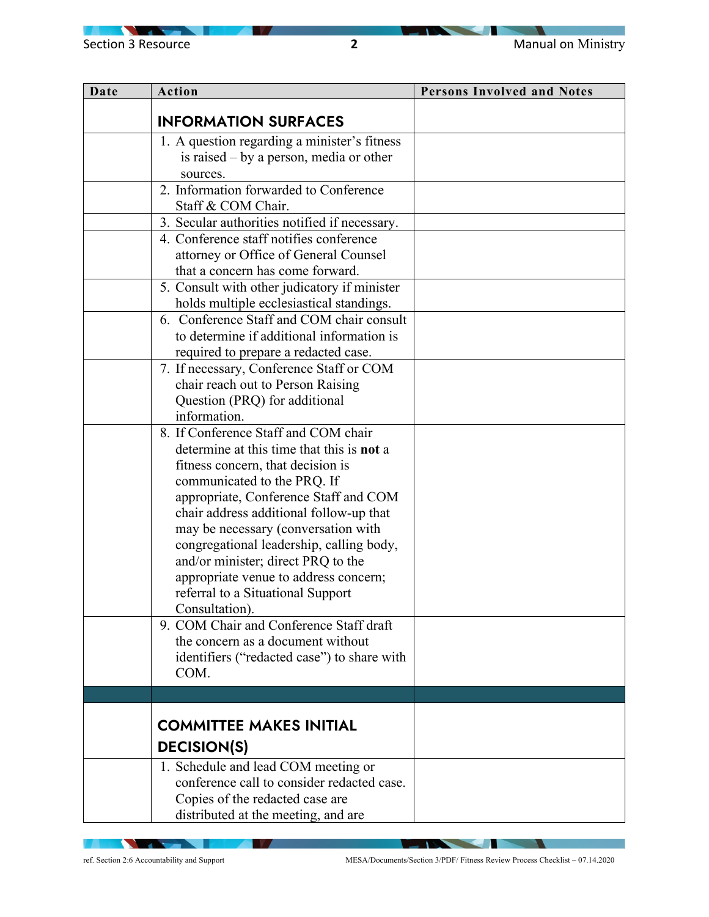$\sqrt{2}$ 

| Date | Action                                                                                   | <b>Persons Involved and Notes</b> |
|------|------------------------------------------------------------------------------------------|-----------------------------------|
|      | <b>INFORMATION SURFACES</b>                                                              |                                   |
|      | 1. A question regarding a minister's fitness                                             |                                   |
|      | is raised $-$ by a person, media or other                                                |                                   |
|      | sources.                                                                                 |                                   |
|      | 2. Information forwarded to Conference                                                   |                                   |
|      | Staff & COM Chair.                                                                       |                                   |
|      | 3. Secular authorities notified if necessary.                                            |                                   |
|      | 4. Conference staff notifies conference                                                  |                                   |
|      | attorney or Office of General Counsel                                                    |                                   |
|      | that a concern has come forward.                                                         |                                   |
|      | 5. Consult with other judicatory if minister<br>holds multiple ecclesiastical standings. |                                   |
|      | 6. Conference Staff and COM chair consult                                                |                                   |
|      | to determine if additional information is                                                |                                   |
|      | required to prepare a redacted case.                                                     |                                   |
|      | 7. If necessary, Conference Staff or COM                                                 |                                   |
|      | chair reach out to Person Raising                                                        |                                   |
|      | Question (PRQ) for additional                                                            |                                   |
|      | information.                                                                             |                                   |
|      | 8. If Conference Staff and COM chair                                                     |                                   |
|      | determine at this time that this is <b>not</b> a                                         |                                   |
|      | fitness concern, that decision is                                                        |                                   |
|      | communicated to the PRQ. If                                                              |                                   |
|      | appropriate, Conference Staff and COM                                                    |                                   |
|      | chair address additional follow-up that                                                  |                                   |
|      | may be necessary (conversation with                                                      |                                   |
|      | congregational leadership, calling body,                                                 |                                   |
|      | and/or minister; direct PRQ to the<br>appropriate venue to address concern;              |                                   |
|      | referral to a Situational Support                                                        |                                   |
|      | Consultation).                                                                           |                                   |
|      | 9. COM Chair and Conference Staff draft                                                  |                                   |
|      | the concern as a document without                                                        |                                   |
|      | identifiers ("redacted case") to share with                                              |                                   |
|      | COM.                                                                                     |                                   |
|      |                                                                                          |                                   |
|      |                                                                                          |                                   |
|      | <b>COMMITTEE MAKES INITIAL</b>                                                           |                                   |
|      | <b>DECISION(S)</b>                                                                       |                                   |
|      | 1. Schedule and lead COM meeting or                                                      |                                   |
|      | conference call to consider redacted case.                                               |                                   |
|      | Copies of the redacted case are                                                          |                                   |
|      | distributed at the meeting, and are                                                      |                                   |

**NATION** 

**IV A** 

- 1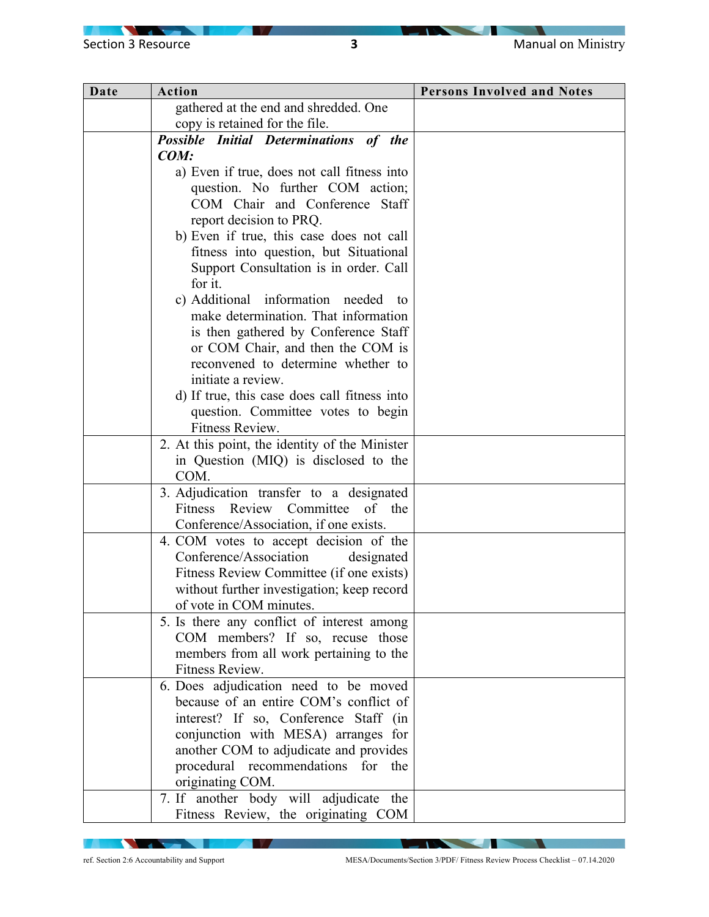$\sqrt{2}$ 

| Date | Action                                                                             | <b>Persons Involved and Notes</b> |
|------|------------------------------------------------------------------------------------|-----------------------------------|
|      | gathered at the end and shredded. One                                              |                                   |
|      | copy is retained for the file.                                                     |                                   |
|      | Possible Initial Determinations of the                                             |                                   |
|      | COM:                                                                               |                                   |
|      | a) Even if true, does not call fitness into                                        |                                   |
|      | question. No further COM action;                                                   |                                   |
|      | COM Chair and Conference Staff                                                     |                                   |
|      | report decision to PRQ.                                                            |                                   |
|      | b) Even if true, this case does not call                                           |                                   |
|      | fitness into question, but Situational                                             |                                   |
|      | Support Consultation is in order. Call                                             |                                   |
|      | for it.                                                                            |                                   |
|      | c) Additional information needed to                                                |                                   |
|      | make determination. That information                                               |                                   |
|      | is then gathered by Conference Staff                                               |                                   |
|      | or COM Chair, and then the COM is<br>reconvened to determine whether to            |                                   |
|      | initiate a review.                                                                 |                                   |
|      |                                                                                    |                                   |
|      | d) If true, this case does call fitness into<br>question. Committee votes to begin |                                   |
|      | Fitness Review.                                                                    |                                   |
|      | 2. At this point, the identity of the Minister                                     |                                   |
|      | in Question (MIQ) is disclosed to the                                              |                                   |
|      | COM.                                                                               |                                   |
|      | 3. Adjudication transfer to a designated                                           |                                   |
|      | Review Committee<br>of the<br>Fitness                                              |                                   |
|      | Conference/Association, if one exists.                                             |                                   |
|      | 4. COM votes to accept decision of the                                             |                                   |
|      | Conference/Association<br>designated                                               |                                   |
|      | Fitness Review Committee (if one exists)                                           |                                   |
|      | without further investigation; keep record                                         |                                   |
|      | of vote in COM minutes.                                                            |                                   |
|      | 5. Is there any conflict of interest among                                         |                                   |
|      | COM members? If so, recuse those                                                   |                                   |
|      | members from all work pertaining to the                                            |                                   |
|      | Fitness Review.                                                                    |                                   |
|      | 6. Does adjudication need to be moved                                              |                                   |
|      | because of an entire COM's conflict of                                             |                                   |
|      | interest? If so, Conference Staff (in                                              |                                   |
|      | conjunction with MESA) arranges for                                                |                                   |
|      | another COM to adjudicate and provides<br>procedural recommendations for the       |                                   |
|      | originating COM.                                                                   |                                   |
|      | 7. If another body will adjudicate the                                             |                                   |
|      | Fitness Review, the originating COM                                                |                                   |
|      |                                                                                    |                                   |

**NATION** 

**IV A** 

ref. Section 2:6 Accountability and Support MESA/Documents/Section 3/PDF/ Fitness Review Process Checklist – 07.14.2020

N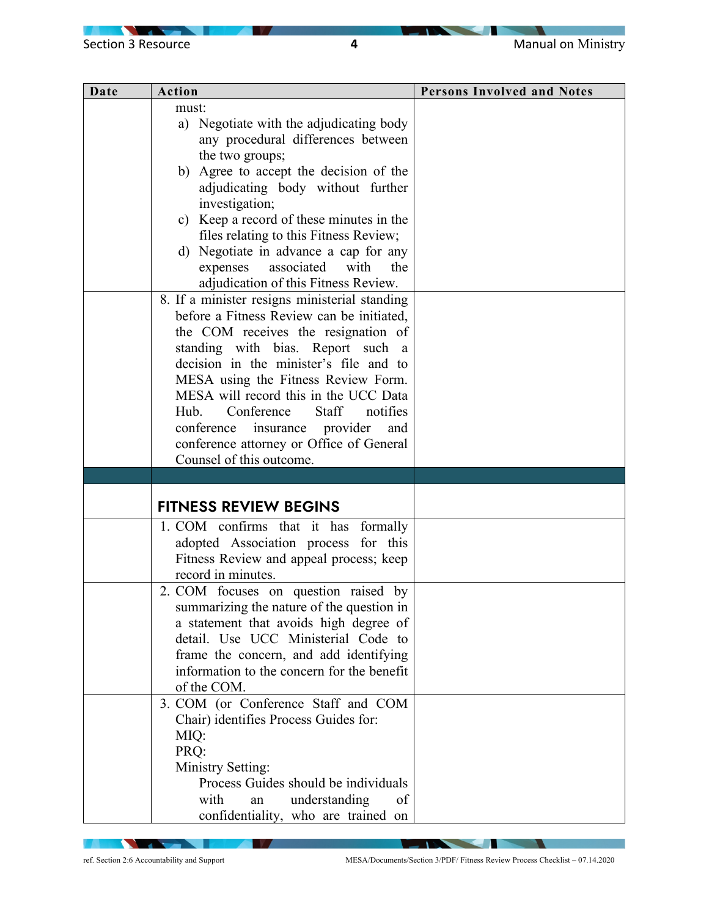$\overline{\phantom{0}}$ 

| Date | Action                                        | <b>Persons Involved and Notes</b> |
|------|-----------------------------------------------|-----------------------------------|
|      | must:                                         |                                   |
|      | a) Negotiate with the adjudicating body       |                                   |
|      | any procedural differences between            |                                   |
|      | the two groups;                               |                                   |
|      | b) Agree to accept the decision of the        |                                   |
|      | adjudicating body without further             |                                   |
|      | investigation;                                |                                   |
|      | c) Keep a record of these minutes in the      |                                   |
|      | files relating to this Fitness Review;        |                                   |
|      | d) Negotiate in advance a cap for any         |                                   |
|      | expenses associated<br>with<br>the            |                                   |
|      | adjudication of this Fitness Review.          |                                   |
|      | 8. If a minister resigns ministerial standing |                                   |
|      | before a Fitness Review can be initiated,     |                                   |
|      | the COM receives the resignation of           |                                   |
|      | standing with bias. Report such a             |                                   |
|      | decision in the minister's file and to        |                                   |
|      | MESA using the Fitness Review Form.           |                                   |
|      | MESA will record this in the UCC Data         |                                   |
|      | Conference<br>Staff<br>notifies<br>Hub.       |                                   |
|      | conference<br>insurance provider<br>and       |                                   |
|      | conference attorney or Office of General      |                                   |
|      | Counsel of this outcome.                      |                                   |
|      |                                               |                                   |
|      | <b>FITNESS REVIEW BEGINS</b>                  |                                   |
|      | 1. COM confirms that it has formally          |                                   |
|      | adopted Association process for this          |                                   |
|      | Fitness Review and appeal process; keep       |                                   |
|      | record in minutes.                            |                                   |
|      | 2. COM focuses on question raised by          |                                   |
|      | summarizing the nature of the question in     |                                   |
|      | a statement that avoids high degree of        |                                   |
|      | detail. Use UCC Ministerial Code to           |                                   |
|      | frame the concern, and add identifying        |                                   |
|      | information to the concern for the benefit    |                                   |
|      | of the COM.                                   |                                   |
|      | 3. COM (or Conference Staff and COM           |                                   |
|      | Chair) identifies Process Guides for:         |                                   |
|      | MIQ:                                          |                                   |
|      | PRQ:                                          |                                   |
|      | Ministry Setting:                             |                                   |
|      | Process Guides should be individuals          |                                   |
|      | with<br>understanding<br>of<br>an             |                                   |
|      | confidentiality, who are trained on           |                                   |

**NATION** 

**IV A** 

**The Community of Community** ref. Section 2:6 Accountability and Support MESA/Documents/Section 3/PDF/ Fitness Review Process Checklist – 07.14.2020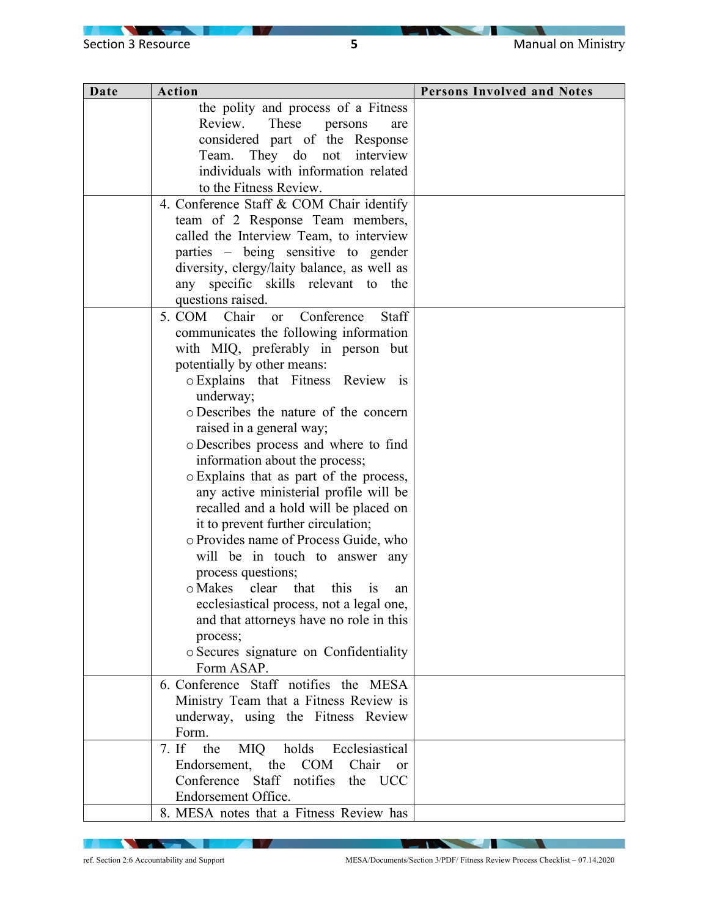| Date | Action                                               | <b>Persons Involved and Notes</b> |
|------|------------------------------------------------------|-----------------------------------|
|      | the polity and process of a Fitness                  |                                   |
|      | Review.<br>These<br>persons<br>are                   |                                   |
|      | considered part of the Response                      |                                   |
|      | They do not interview<br>Team.                       |                                   |
|      | individuals with information related                 |                                   |
|      | to the Fitness Review.                               |                                   |
|      | 4. Conference Staff & COM Chair identify             |                                   |
|      | team of 2 Response Team members,                     |                                   |
|      | called the Interview Team, to interview              |                                   |
|      | parties – being sensitive to gender                  |                                   |
|      | diversity, clergy/laity balance, as well as          |                                   |
|      | any specific skills relevant to the                  |                                   |
|      | questions raised.                                    |                                   |
|      | 5. COM Chair<br>Conference<br>Staff<br><sub>or</sub> |                                   |
|      | communicates the following information               |                                   |
|      | with MIQ, preferably in person but                   |                                   |
|      | potentially by other means:                          |                                   |
|      | o Explains that Fitness Review is                    |                                   |
|      | underway;                                            |                                   |
|      | o Describes the nature of the concern                |                                   |
|      | raised in a general way;                             |                                   |
|      | o Describes process and where to find                |                                   |
|      | information about the process;                       |                                   |
|      | o Explains that as part of the process,              |                                   |
|      | any active ministerial profile will be               |                                   |
|      | recalled and a hold will be placed on                |                                   |
|      | it to prevent further circulation;                   |                                   |
|      | o Provides name of Process Guide, who                |                                   |
|      | will be in touch to answer any                       |                                   |
|      | process questions;                                   |                                   |
|      | o Makes clear that<br>this<br><b>1S</b><br>an        |                                   |
|      | ecclesiastical process, not a legal one,             |                                   |
|      | and that attorneys have no role in this              |                                   |
|      | process;                                             |                                   |
|      | o Secures signature on Confidentiality               |                                   |
|      | Form ASAP.                                           |                                   |
|      | 6. Conference Staff notifies the MESA                |                                   |
|      | Ministry Team that a Fitness Review is               |                                   |
|      | underway, using the Fitness Review                   |                                   |
|      | Form.<br>7. If the                                   |                                   |
|      | Ecclesiastical<br>holds<br><b>MIQ</b>                |                                   |
|      | Endorsement, the<br><b>COM</b><br>Chair<br>or        |                                   |
|      | Conference Staff notifies<br>the UCC                 |                                   |
|      | Endorsement Office.                                  |                                   |
|      | 8. MESA notes that a Fitness Review has              |                                   |

**NATION** 

**IV A** 

- 1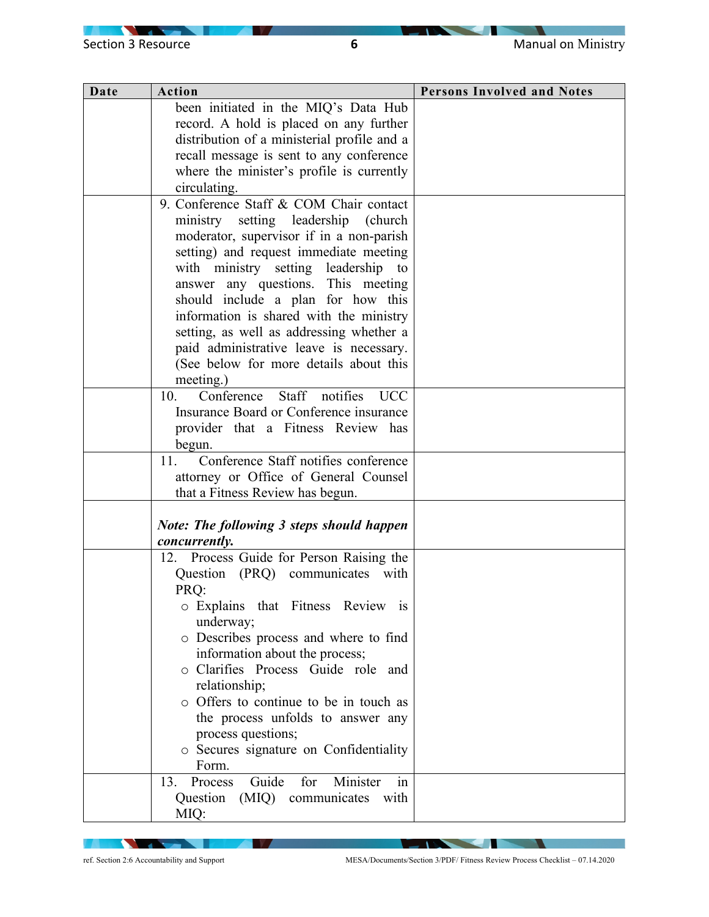$\overline{\phantom{0}}$ 

| Date | Action                                                     | <b>Persons Involved and Notes</b> |
|------|------------------------------------------------------------|-----------------------------------|
|      | been initiated in the MIQ's Data Hub                       |                                   |
|      | record. A hold is placed on any further                    |                                   |
|      | distribution of a ministerial profile and a                |                                   |
|      | recall message is sent to any conference                   |                                   |
|      | where the minister's profile is currently                  |                                   |
|      | circulating.                                               |                                   |
|      | 9. Conference Staff & COM Chair contact                    |                                   |
|      | ministry setting leadership (church                        |                                   |
|      | moderator, supervisor if in a non-parish                   |                                   |
|      | setting) and request immediate meeting                     |                                   |
|      | with ministry setting leadership to                        |                                   |
|      | answer any questions. This meeting                         |                                   |
|      | should include a plan for how this                         |                                   |
|      | information is shared with the ministry                    |                                   |
|      | setting, as well as addressing whether a                   |                                   |
|      | paid administrative leave is necessary.                    |                                   |
|      | (See below for more details about this                     |                                   |
|      | meeting.)                                                  |                                   |
|      | Staff notifies<br>Conference<br><b>UCC</b><br>10.          |                                   |
|      | Insurance Board or Conference insurance                    |                                   |
|      | provider that a Fitness Review has                         |                                   |
|      | begun.                                                     |                                   |
|      | Conference Staff notifies conference<br>11.                |                                   |
|      | attorney or Office of General Counsel                      |                                   |
|      | that a Fitness Review has begun.                           |                                   |
|      |                                                            |                                   |
|      | Note: The following 3 steps should happen<br>concurrently. |                                   |
|      | 12. Process Guide for Person Raising the                   |                                   |
|      | Question (PRQ) communicates with                           |                                   |
|      | PRQ:                                                       |                                   |
|      | o Explains that Fitness Review is                          |                                   |
|      | underway;                                                  |                                   |
|      | o Describes process and where to find                      |                                   |
|      | information about the process;                             |                                   |
|      | o Clarifies Process Guide role and                         |                                   |
|      | relationship;                                              |                                   |
|      | o Offers to continue to be in touch as                     |                                   |
|      | the process unfolds to answer any                          |                                   |
|      | process questions;                                         |                                   |
|      | o Secures signature on Confidentiality                     |                                   |
|      | Form.                                                      |                                   |
|      | Minister<br>Guide<br>Process<br>13.<br>for<br>in           |                                   |
|      | Question<br>(MIQ)<br>communicates<br>with                  |                                   |
|      | MIQ:                                                       |                                   |

**NATION** 

**IV A** 

ref. Section 2:6 Accountability and Support MESA/Documents/Section 3/PDF/ Fitness Review Process Checklist – 07.14.2020

 $\overline{\phantom{a}}$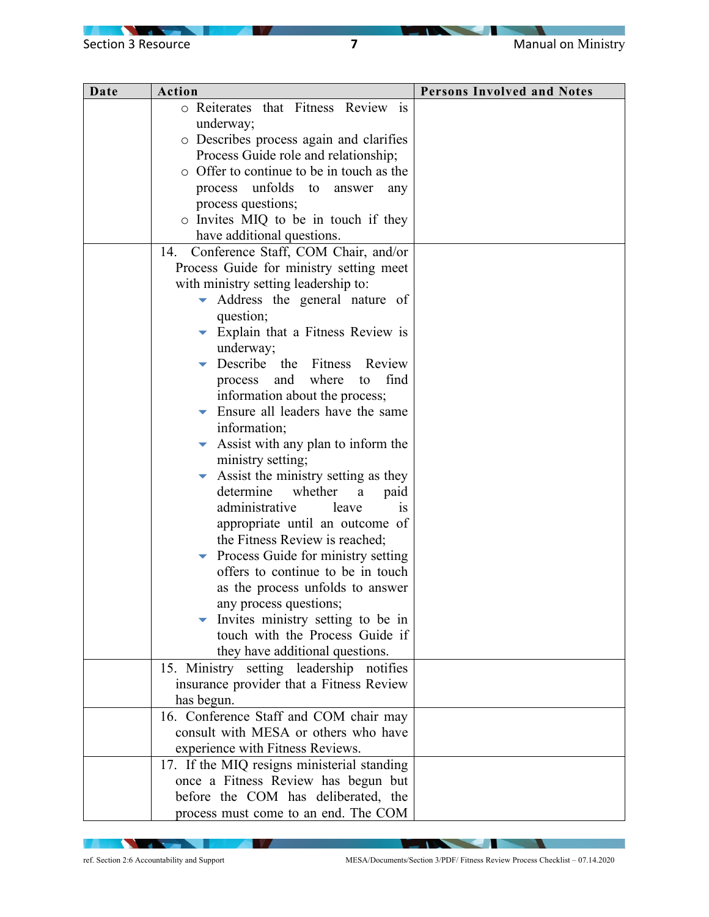$\sqrt{2}$ 

| Date | Action                                                                                                                                                                                                                                                                                                                                                                                                                                                                                                                                                                                                                                                                                                                                             | <b>Persons Involved and Notes</b> |
|------|----------------------------------------------------------------------------------------------------------------------------------------------------------------------------------------------------------------------------------------------------------------------------------------------------------------------------------------------------------------------------------------------------------------------------------------------------------------------------------------------------------------------------------------------------------------------------------------------------------------------------------------------------------------------------------------------------------------------------------------------------|-----------------------------------|
|      | o Reiterates that Fitness Review is                                                                                                                                                                                                                                                                                                                                                                                                                                                                                                                                                                                                                                                                                                                |                                   |
|      | underway;                                                                                                                                                                                                                                                                                                                                                                                                                                                                                                                                                                                                                                                                                                                                          |                                   |
|      | o Describes process again and clarifies                                                                                                                                                                                                                                                                                                                                                                                                                                                                                                                                                                                                                                                                                                            |                                   |
|      | Process Guide role and relationship;                                                                                                                                                                                                                                                                                                                                                                                                                                                                                                                                                                                                                                                                                                               |                                   |
|      | $\circ$ Offer to continue to be in touch as the                                                                                                                                                                                                                                                                                                                                                                                                                                                                                                                                                                                                                                                                                                    |                                   |
|      | process unfolds<br>to<br>answer<br>any                                                                                                                                                                                                                                                                                                                                                                                                                                                                                                                                                                                                                                                                                                             |                                   |
|      | process questions;                                                                                                                                                                                                                                                                                                                                                                                                                                                                                                                                                                                                                                                                                                                                 |                                   |
|      | o Invites MIQ to be in touch if they                                                                                                                                                                                                                                                                                                                                                                                                                                                                                                                                                                                                                                                                                                               |                                   |
|      | have additional questions.                                                                                                                                                                                                                                                                                                                                                                                                                                                                                                                                                                                                                                                                                                                         |                                   |
|      | Conference Staff, COM Chair, and/or<br>14.                                                                                                                                                                                                                                                                                                                                                                                                                                                                                                                                                                                                                                                                                                         |                                   |
|      | Process Guide for ministry setting meet                                                                                                                                                                                                                                                                                                                                                                                                                                                                                                                                                                                                                                                                                                            |                                   |
|      | with ministry setting leadership to:                                                                                                                                                                                                                                                                                                                                                                                                                                                                                                                                                                                                                                                                                                               |                                   |
|      | Address the general nature of<br>$\blacktriangledown$                                                                                                                                                                                                                                                                                                                                                                                                                                                                                                                                                                                                                                                                                              |                                   |
|      | question;                                                                                                                                                                                                                                                                                                                                                                                                                                                                                                                                                                                                                                                                                                                                          |                                   |
|      | $\blacktriangleright$ Explain that a Fitness Review is                                                                                                                                                                                                                                                                                                                                                                                                                                                                                                                                                                                                                                                                                             |                                   |
|      | underway;                                                                                                                                                                                                                                                                                                                                                                                                                                                                                                                                                                                                                                                                                                                                          |                                   |
|      | Describe the Fitness<br>Review                                                                                                                                                                                                                                                                                                                                                                                                                                                                                                                                                                                                                                                                                                                     |                                   |
|      | find<br>process and<br>where<br>to                                                                                                                                                                                                                                                                                                                                                                                                                                                                                                                                                                                                                                                                                                                 |                                   |
|      | information about the process;                                                                                                                                                                                                                                                                                                                                                                                                                                                                                                                                                                                                                                                                                                                     |                                   |
|      | Ensure all leaders have the same                                                                                                                                                                                                                                                                                                                                                                                                                                                                                                                                                                                                                                                                                                                   |                                   |
|      | information;                                                                                                                                                                                                                                                                                                                                                                                                                                                                                                                                                                                                                                                                                                                                       |                                   |
|      | Assist with any plan to inform the                                                                                                                                                                                                                                                                                                                                                                                                                                                                                                                                                                                                                                                                                                                 |                                   |
|      |                                                                                                                                                                                                                                                                                                                                                                                                                                                                                                                                                                                                                                                                                                                                                    |                                   |
|      |                                                                                                                                                                                                                                                                                                                                                                                                                                                                                                                                                                                                                                                                                                                                                    |                                   |
|      | determine<br>whether<br>a                                                                                                                                                                                                                                                                                                                                                                                                                                                                                                                                                                                                                                                                                                                          |                                   |
|      | administrative<br>leave<br>1S                                                                                                                                                                                                                                                                                                                                                                                                                                                                                                                                                                                                                                                                                                                      |                                   |
|      |                                                                                                                                                                                                                                                                                                                                                                                                                                                                                                                                                                                                                                                                                                                                                    |                                   |
|      |                                                                                                                                                                                                                                                                                                                                                                                                                                                                                                                                                                                                                                                                                                                                                    |                                   |
|      |                                                                                                                                                                                                                                                                                                                                                                                                                                                                                                                                                                                                                                                                                                                                                    |                                   |
|      |                                                                                                                                                                                                                                                                                                                                                                                                                                                                                                                                                                                                                                                                                                                                                    |                                   |
|      |                                                                                                                                                                                                                                                                                                                                                                                                                                                                                                                                                                                                                                                                                                                                                    |                                   |
|      |                                                                                                                                                                                                                                                                                                                                                                                                                                                                                                                                                                                                                                                                                                                                                    |                                   |
|      |                                                                                                                                                                                                                                                                                                                                                                                                                                                                                                                                                                                                                                                                                                                                                    |                                   |
|      |                                                                                                                                                                                                                                                                                                                                                                                                                                                                                                                                                                                                                                                                                                                                                    |                                   |
|      |                                                                                                                                                                                                                                                                                                                                                                                                                                                                                                                                                                                                                                                                                                                                                    |                                   |
|      |                                                                                                                                                                                                                                                                                                                                                                                                                                                                                                                                                                                                                                                                                                                                                    |                                   |
|      |                                                                                                                                                                                                                                                                                                                                                                                                                                                                                                                                                                                                                                                                                                                                                    |                                   |
|      |                                                                                                                                                                                                                                                                                                                                                                                                                                                                                                                                                                                                                                                                                                                                                    |                                   |
|      |                                                                                                                                                                                                                                                                                                                                                                                                                                                                                                                                                                                                                                                                                                                                                    |                                   |
|      | consult with MESA or others who have                                                                                                                                                                                                                                                                                                                                                                                                                                                                                                                                                                                                                                                                                                               |                                   |
|      |                                                                                                                                                                                                                                                                                                                                                                                                                                                                                                                                                                                                                                                                                                                                                    |                                   |
|      |                                                                                                                                                                                                                                                                                                                                                                                                                                                                                                                                                                                                                                                                                                                                                    |                                   |
|      |                                                                                                                                                                                                                                                                                                                                                                                                                                                                                                                                                                                                                                                                                                                                                    |                                   |
|      |                                                                                                                                                                                                                                                                                                                                                                                                                                                                                                                                                                                                                                                                                                                                                    |                                   |
|      |                                                                                                                                                                                                                                                                                                                                                                                                                                                                                                                                                                                                                                                                                                                                                    |                                   |
|      | ministry setting;<br>Assist the ministry setting as they<br>paid<br>appropriate until an outcome of<br>the Fitness Review is reached;<br>Process Guide for ministry setting<br>offers to continue to be in touch<br>as the process unfolds to answer<br>any process questions;<br>Invites ministry setting to be in<br>touch with the Process Guide if<br>they have additional questions.<br>15. Ministry setting leadership notifies<br>insurance provider that a Fitness Review<br>has begun.<br>16. Conference Staff and COM chair may<br>experience with Fitness Reviews.<br>17. If the MIQ resigns ministerial standing<br>once a Fitness Review has begun but<br>before the COM has deliberated, the<br>process must come to an end. The COM |                                   |

**NATION** 

**TV** 

ref. Section 2:6 Accountability and Support MESA/Documents/Section 3/PDF/ Fitness Review Process Checklist – 07.14.2020

 $\overline{\phantom{a}}$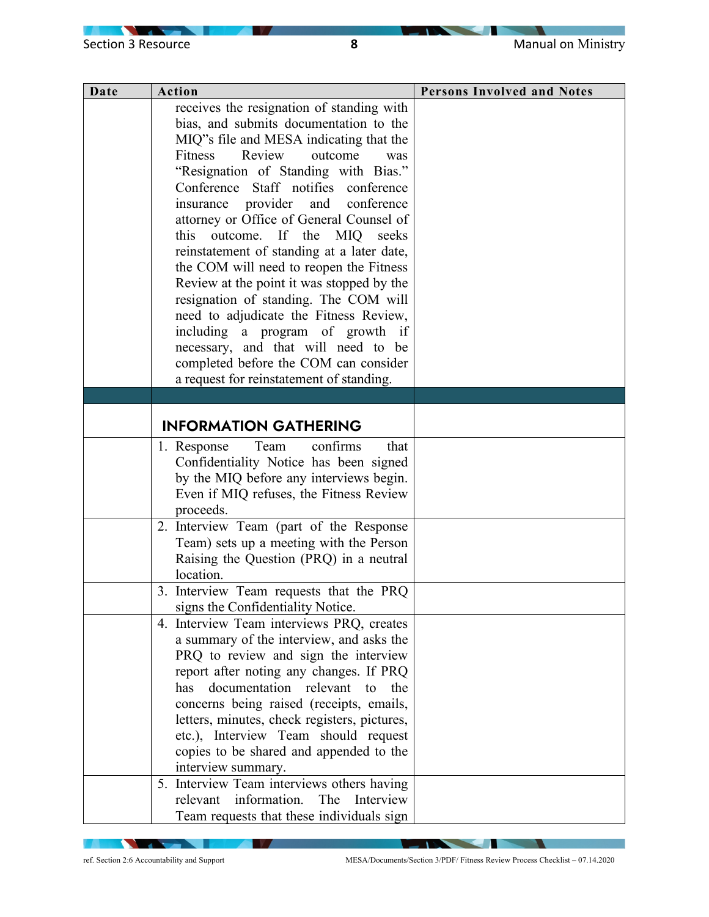$\overline{\phantom{0}}$ 

| Date | <b>Action</b>                                        | <b>Persons Involved and Notes</b> |
|------|------------------------------------------------------|-----------------------------------|
|      | receives the resignation of standing with            |                                   |
|      | bias, and submits documentation to the               |                                   |
|      | MIQ"s file and MESA indicating that the              |                                   |
|      | Review<br>Fitness<br>outcome<br>was                  |                                   |
|      | "Resignation of Standing with Bias."                 |                                   |
|      | Conference Staff notifies conference                 |                                   |
|      | and<br>insurance provider<br>conference              |                                   |
|      | attorney or Office of General Counsel of             |                                   |
|      | If<br>this<br>outcome.<br>the<br><b>MIQ</b><br>seeks |                                   |
|      | reinstatement of standing at a later date,           |                                   |
|      | the COM will need to reopen the Fitness              |                                   |
|      | Review at the point it was stopped by the            |                                   |
|      | resignation of standing. The COM will                |                                   |
|      | need to adjudicate the Fitness Review,               |                                   |
|      | including a program of growth if                     |                                   |
|      | necessary, and that will need to be                  |                                   |
|      | completed before the COM can consider                |                                   |
|      | a request for reinstatement of standing.             |                                   |
|      |                                                      |                                   |
|      |                                                      |                                   |
|      | <b>INFORMATION GATHERING</b>                         |                                   |
|      | confirms<br>1. Response<br>Team<br>that              |                                   |
|      | Confidentiality Notice has been signed               |                                   |
|      | by the MIQ before any interviews begin.              |                                   |
|      | Even if MIQ refuses, the Fitness Review              |                                   |
|      | proceeds.                                            |                                   |
|      | 2. Interview Team (part of the Response              |                                   |
|      | Team) sets up a meeting with the Person              |                                   |
|      | Raising the Question (PRQ) in a neutral              |                                   |
|      | location.                                            |                                   |
|      | 3. Interview Team requests that the PRQ              |                                   |
|      | signs the Confidentiality Notice.                    |                                   |
|      | 4. Interview Team interviews PRQ, creates            |                                   |
|      | a summary of the interview, and asks the             |                                   |
|      | PRQ to review and sign the interview                 |                                   |
|      | report after noting any changes. If PRQ              |                                   |
|      | has<br>documentation relevant<br>the<br>to           |                                   |
|      | concerns being raised (receipts, emails,             |                                   |
|      | letters, minutes, check registers, pictures,         |                                   |
|      | etc.), Interview Team should request                 |                                   |
|      | copies to be shared and appended to the              |                                   |
|      | interview summary.                                   |                                   |
|      | 5. Interview Team interviews others having           |                                   |
|      | information.<br>The<br>relevant<br>Interview         |                                   |
|      | Team requests that these individuals sign            |                                   |

**NATION** 

**IV A** 

ref. Section 2:6 Accountability and Support MESA/Documents/Section 3/PDF/ Fitness Review Process Checklist – 07.14.2020

- 1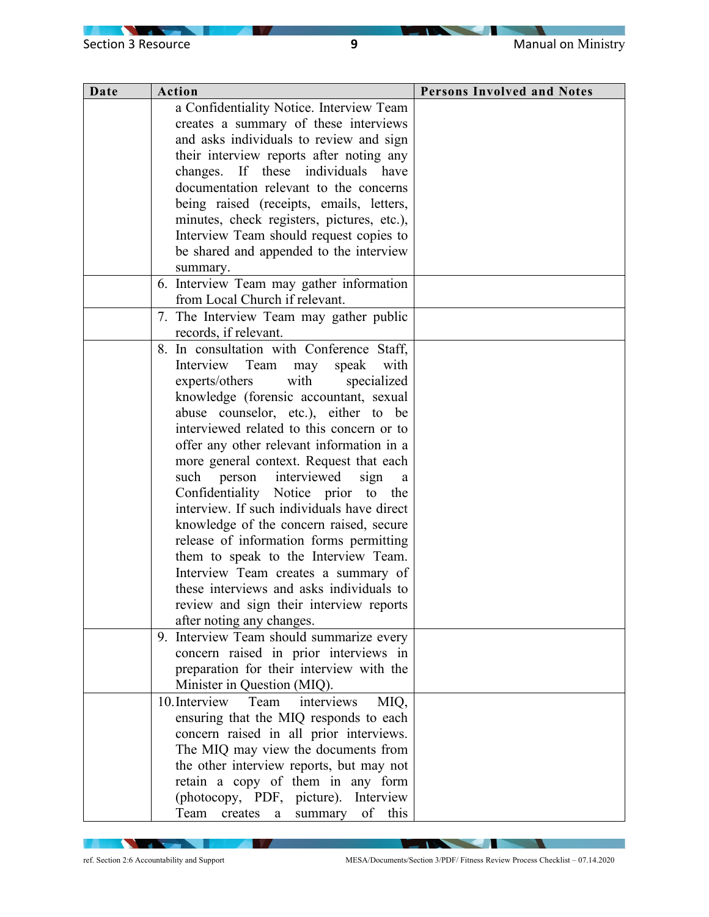$\overline{\phantom{0}}$ 

 $\sqrt{2}$ 

| Date | Action                                        | <b>Persons Involved and Notes</b> |
|------|-----------------------------------------------|-----------------------------------|
|      | a Confidentiality Notice. Interview Team      |                                   |
|      | creates a summary of these interviews         |                                   |
|      | and asks individuals to review and sign       |                                   |
|      | their interview reports after noting any      |                                   |
|      | changes. If these individuals have            |                                   |
|      | documentation relevant to the concerns        |                                   |
|      | being raised (receipts, emails, letters,      |                                   |
|      | minutes, check registers, pictures, etc.),    |                                   |
|      | Interview Team should request copies to       |                                   |
|      | be shared and appended to the interview       |                                   |
|      | summary.                                      |                                   |
|      | 6. Interview Team may gather information      |                                   |
|      | from Local Church if relevant.                |                                   |
|      | 7. The Interview Team may gather public       |                                   |
|      | records, if relevant.                         |                                   |
|      | 8. In consultation with Conference Staff,     |                                   |
|      | Interview Team<br>speak<br>with<br>may        |                                   |
|      | with<br>specialized<br>experts/others         |                                   |
|      | knowledge (forensic accountant, sexual        |                                   |
|      | abuse counselor, etc.), either to be          |                                   |
|      | interviewed related to this concern or to     |                                   |
|      | offer any other relevant information in a     |                                   |
|      | more general context. Request that each       |                                   |
|      | such person interviewed<br>sign<br>a          |                                   |
|      | Confidentiality Notice prior to the           |                                   |
|      | interview. If such individuals have direct    |                                   |
|      | knowledge of the concern raised, secure       |                                   |
|      | release of information forms permitting       |                                   |
|      | them to speak to the Interview Team.          |                                   |
|      | Interview Team creates a summary of           |                                   |
|      | these interviews and asks individuals to      |                                   |
|      | review and sign their interview reports       |                                   |
|      | after noting any changes.                     |                                   |
|      | 9. Interview Team should summarize every      |                                   |
|      | concern raised in prior interviews in         |                                   |
|      | preparation for their interview with the      |                                   |
|      | Minister in Question (MIQ).                   |                                   |
|      | 10. Interview<br>Team<br>interviews<br>MIQ,   |                                   |
|      | ensuring that the MIQ responds to each        |                                   |
|      | concern raised in all prior interviews.       |                                   |
|      | The MIQ may view the documents from           |                                   |
|      | the other interview reports, but may not      |                                   |
|      | retain a copy of them in any form             |                                   |
|      | (photocopy, PDF, picture). Interview          |                                   |
|      | of<br>this<br>Team<br>creates<br>summary<br>a |                                   |

**NATION** 

**IV A** 

 $\overline{\phantom{a}}$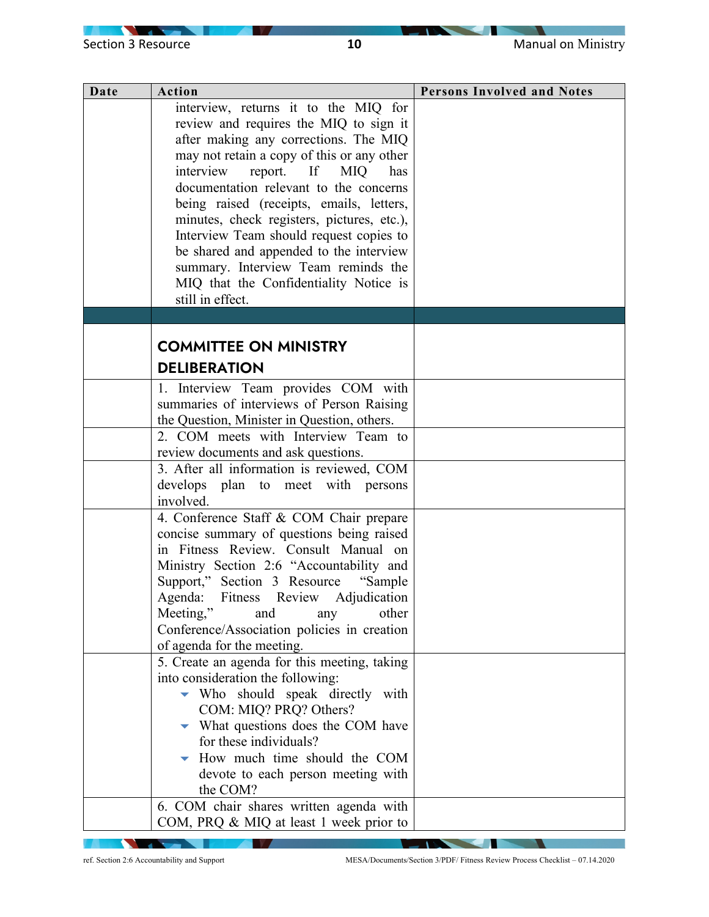| Date | <b>Action</b>                                                                    | <b>Persons Involved and Notes</b> |
|------|----------------------------------------------------------------------------------|-----------------------------------|
|      | interview, returns it to the MIQ for                                             |                                   |
|      | review and requires the MIQ to sign it                                           |                                   |
|      | after making any corrections. The MIQ                                            |                                   |
|      | may not retain a copy of this or any other                                       |                                   |
|      | interview report. If MIQ<br>has<br>documentation relevant to the concerns        |                                   |
|      | being raised (receipts, emails, letters,                                         |                                   |
|      | minutes, check registers, pictures, etc.),                                       |                                   |
|      | Interview Team should request copies to                                          |                                   |
|      | be shared and appended to the interview                                          |                                   |
|      | summary. Interview Team reminds the                                              |                                   |
|      | MIQ that the Confidentiality Notice is                                           |                                   |
|      | still in effect.                                                                 |                                   |
|      |                                                                                  |                                   |
|      | <b>COMMITTEE ON MINISTRY</b>                                                     |                                   |
|      |                                                                                  |                                   |
|      | <b>DELIBERATION</b>                                                              |                                   |
|      | 1. Interview Team provides COM with                                              |                                   |
|      | summaries of interviews of Person Raising                                        |                                   |
|      | the Question, Minister in Question, others.                                      |                                   |
|      | 2. COM meets with Interview Team to                                              |                                   |
|      | review documents and ask questions.<br>3. After all information is reviewed, COM |                                   |
|      | develops plan to meet with persons                                               |                                   |
|      | involved.                                                                        |                                   |
|      | 4. Conference Staff & COM Chair prepare                                          |                                   |
|      | concise summary of questions being raised                                        |                                   |
|      | in Fitness Review. Consult Manual on                                             |                                   |
|      | Ministry Section 2:6 "Accountability and                                         |                                   |
|      | Support," Section 3 Resource "Sample                                             |                                   |
|      | Agenda: Fitness Review Adjudication                                              |                                   |
|      | Meeting,"<br>other<br>and<br>any<br>Conference/Association policies in creation  |                                   |
|      | of agenda for the meeting.                                                       |                                   |
|      | 5. Create an agenda for this meeting, taking                                     |                                   |
|      | into consideration the following:                                                |                                   |
|      | Who should speak directly with                                                   |                                   |
|      | COM: MIQ? PRQ? Others?                                                           |                                   |
|      | $\blacktriangleright$ What questions does the COM have                           |                                   |
|      | for these individuals?                                                           |                                   |
|      | How much time should the COM                                                     |                                   |
|      | devote to each person meeting with<br>the COM?                                   |                                   |
|      | 6. COM chair shares written agenda with                                          |                                   |
|      | COM, PRQ & MIQ at least 1 week prior to                                          |                                   |
|      |                                                                                  |                                   |

ref. Section 2:6 Accountability and Support MESA/Documents/Section 3/PDF/ Fitness Review Process Checklist – 07.14.2020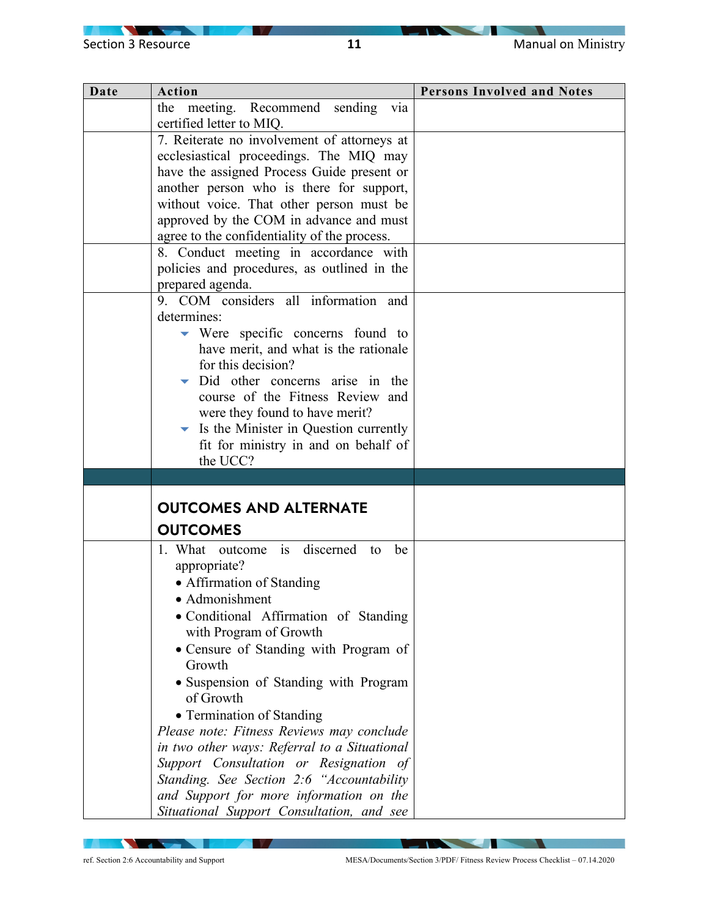| Date | Action                                                | <b>Persons Involved and Notes</b> |
|------|-------------------------------------------------------|-----------------------------------|
|      | the meeting. Recommend sending<br>via                 |                                   |
|      | certified letter to MIQ.                              |                                   |
|      | 7. Reiterate no involvement of attorneys at           |                                   |
|      | ecclesiastical proceedings. The MIQ may               |                                   |
|      | have the assigned Process Guide present or            |                                   |
|      | another person who is there for support,              |                                   |
|      | without voice. That other person must be              |                                   |
|      | approved by the COM in advance and must               |                                   |
|      | agree to the confidentiality of the process.          |                                   |
|      | 8. Conduct meeting in accordance with                 |                                   |
|      | policies and procedures, as outlined in the           |                                   |
|      | prepared agenda.                                      |                                   |
|      | 9. COM considers all information and                  |                                   |
|      | determines:                                           |                                   |
|      | $\blacktriangleright$ Were specific concerns found to |                                   |
|      | have merit, and what is the rationale                 |                                   |
|      | for this decision?                                    |                                   |
|      | Did other concerns arise in the                       |                                   |
|      | course of the Fitness Review and                      |                                   |
|      | were they found to have merit?                        |                                   |
|      | Is the Minister in Question currently<br>▼            |                                   |
|      | fit for ministry in and on behalf of                  |                                   |
|      | the UCC?                                              |                                   |
|      |                                                       |                                   |
|      | <b>OUTCOMES AND ALTERNATE</b>                         |                                   |
|      | <b>OUTCOMES</b>                                       |                                   |
|      |                                                       |                                   |
|      | is discerned to<br>1. What outcome<br>be              |                                   |
|      | appropriate?                                          |                                   |
|      | • Affirmation of Standing                             |                                   |
|      | • Admonishment                                        |                                   |
|      | · Conditional Affirmation of Standing                 |                                   |
|      | with Program of Growth                                |                                   |
|      | • Censure of Standing with Program of                 |                                   |
|      | Growth                                                |                                   |
|      | · Suspension of Standing with Program                 |                                   |
|      | of Growth                                             |                                   |
|      | • Termination of Standing                             |                                   |
|      | Please note: Fitness Reviews may conclude             |                                   |
|      | in two other ways: Referral to a Situational          |                                   |
|      | Support Consultation or Resignation of                |                                   |
|      | Standing. See Section 2:6 "Accountability             |                                   |
|      | and Support for more information on the               |                                   |
|      | Situational Support Consultation, and see             |                                   |

**NATION** 

**IV** 

ref. Section 2:6 Accountability and Support MESA/Documents/Section 3/PDF/ Fitness Review Process Checklist – 07.14.2020

N

**The Communication of the Communication** 

V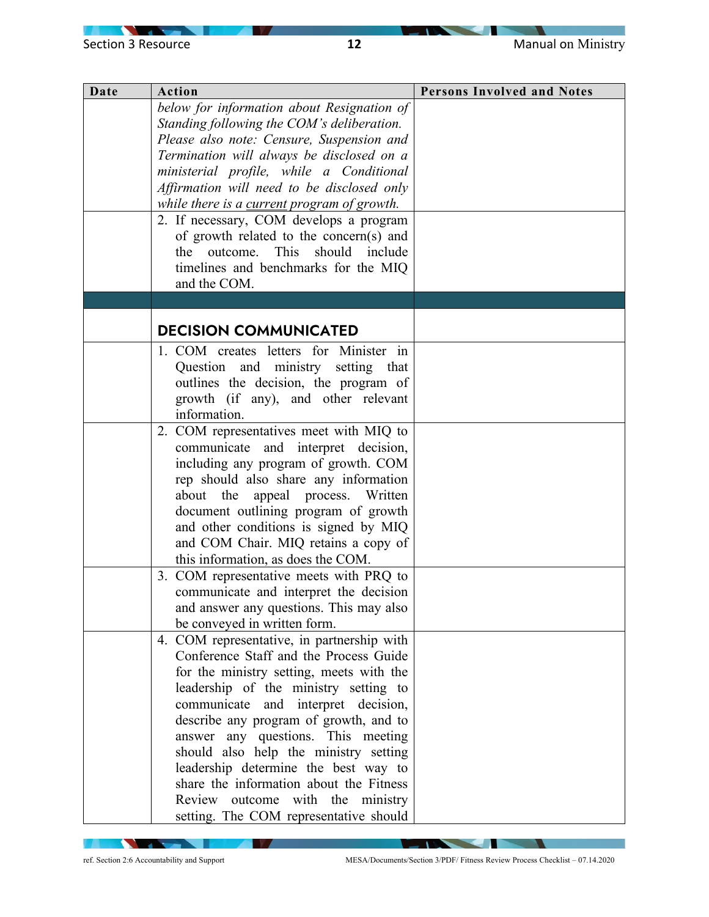| Date | Action                                      | <b>Persons Involved and Notes</b> |
|------|---------------------------------------------|-----------------------------------|
|      | below for information about Resignation of  |                                   |
|      | Standing following the COM's deliberation.  |                                   |
|      | Please also note: Censure, Suspension and   |                                   |
|      | Termination will always be disclosed on a   |                                   |
|      | ministerial profile, while a Conditional    |                                   |
|      | Affirmation will need to be disclosed only  |                                   |
|      | while there is a current program of growth. |                                   |
|      | 2. If necessary, COM develops a program     |                                   |
|      | of growth related to the concern(s) and     |                                   |
|      | should<br>This<br>the outcome.<br>include   |                                   |
|      | timelines and benchmarks for the MIQ        |                                   |
|      | and the COM.                                |                                   |
|      |                                             |                                   |
|      |                                             |                                   |
|      | <b>DECISION COMMUNICATED</b>                |                                   |
|      | 1. COM creates letters for Minister in      |                                   |
|      | Question and ministry setting that          |                                   |
|      | outlines the decision, the program of       |                                   |
|      | growth (if any), and other relevant         |                                   |
|      | information.                                |                                   |
|      | 2. COM representatives meet with MIQ to     |                                   |
|      | communicate and interpret decision,         |                                   |
|      | including any program of growth. COM        |                                   |
|      | rep should also share any information       |                                   |
|      | appeal process. Written<br>about the        |                                   |
|      | document outlining program of growth        |                                   |
|      | and other conditions is signed by MIQ       |                                   |
|      | and COM Chair. MIQ retains a copy of        |                                   |
|      | this information, as does the COM.          |                                   |
|      | 3. COM representative meets with PRQ to     |                                   |
|      | communicate and interpret the decision      |                                   |
|      | and answer any questions. This may also     |                                   |
|      | be conveyed in written form.                |                                   |
|      | 4. COM representative, in partnership with  |                                   |
|      | Conference Staff and the Process Guide      |                                   |
|      | for the ministry setting, meets with the    |                                   |
|      | leadership of the ministry setting to       |                                   |
|      | communicate and interpret decision,         |                                   |
|      | describe any program of growth, and to      |                                   |
|      | answer any questions. This meeting          |                                   |
|      | should also help the ministry setting       |                                   |
|      | leadership determine the best way to        |                                   |
|      | share the information about the Fitness     |                                   |
|      | Review outcome with the ministry            |                                   |
|      | setting. The COM representative should      |                                   |

**NATION** 

**IV** 

N

**The Communication of the Communication** 

V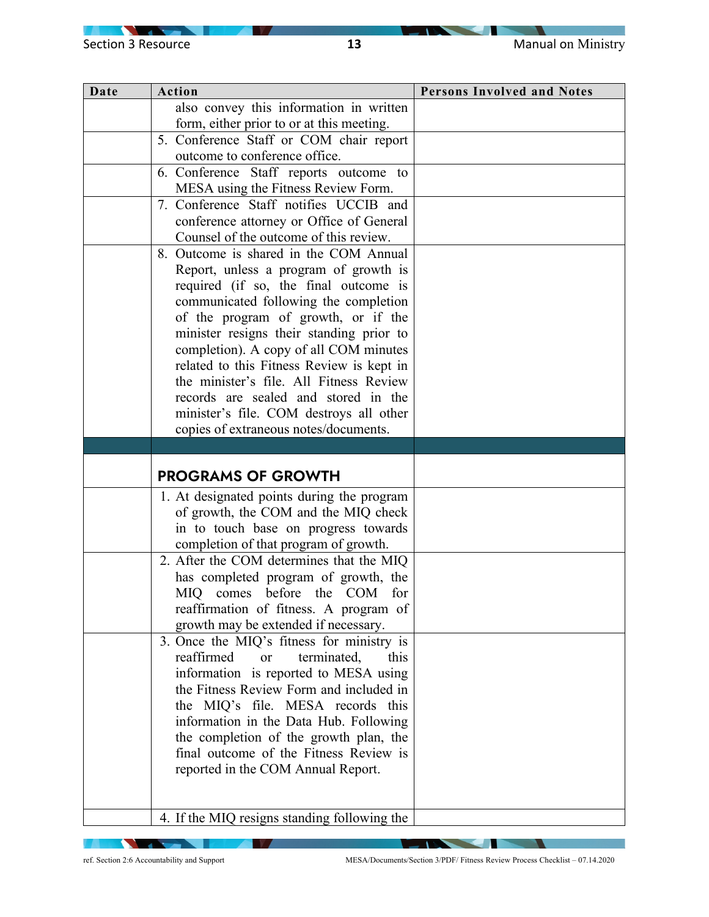| Date | Action                                         | <b>Persons Involved and Notes</b> |
|------|------------------------------------------------|-----------------------------------|
|      | also convey this information in written        |                                   |
|      | form, either prior to or at this meeting.      |                                   |
|      | 5. Conference Staff or COM chair report        |                                   |
|      | outcome to conference office.                  |                                   |
|      | 6. Conference Staff reports outcome to         |                                   |
|      | MESA using the Fitness Review Form.            |                                   |
|      | 7. Conference Staff notifies UCCIB and         |                                   |
|      | conference attorney or Office of General       |                                   |
|      | Counsel of the outcome of this review.         |                                   |
|      | 8. Outcome is shared in the COM Annual         |                                   |
|      | Report, unless a program of growth is          |                                   |
|      | required (if so, the final outcome is          |                                   |
|      | communicated following the completion          |                                   |
|      | of the program of growth, or if the            |                                   |
|      | minister resigns their standing prior to       |                                   |
|      | completion). A copy of all COM minutes         |                                   |
|      | related to this Fitness Review is kept in      |                                   |
|      | the minister's file. All Fitness Review        |                                   |
|      | records are sealed and stored in the           |                                   |
|      | minister's file. COM destroys all other        |                                   |
|      | copies of extraneous notes/documents.          |                                   |
|      |                                                |                                   |
|      | <b>PROGRAMS OF GROWTH</b>                      |                                   |
|      | 1. At designated points during the program     |                                   |
|      | of growth, the COM and the MIQ check           |                                   |
|      | in to touch base on progress towards           |                                   |
|      | completion of that program of growth.          |                                   |
|      | 2. After the COM determines that the MIQ       |                                   |
|      | has completed program of growth, the           |                                   |
|      | <b>MIQ</b><br>comes before the COM<br>for      |                                   |
|      | reaffirmation of fitness. A program of         |                                   |
|      | growth may be extended if necessary.           |                                   |
|      | 3. Once the MIQ's fitness for ministry is      |                                   |
|      | reaffirmed<br>terminated,<br>this<br><b>or</b> |                                   |
|      | information is reported to MESA using          |                                   |
|      | the Fitness Review Form and included in        |                                   |
|      | the MIQ's file. MESA records this              |                                   |
|      | information in the Data Hub. Following         |                                   |
|      | the completion of the growth plan, the         |                                   |
|      | final outcome of the Fitness Review is         |                                   |
|      | reported in the COM Annual Report.             |                                   |
|      |                                                |                                   |
|      |                                                |                                   |
|      | 4. If the MIQ resigns standing following the   |                                   |

**NATION** 

**IV** 

N

**The Communication of the Communication** 

V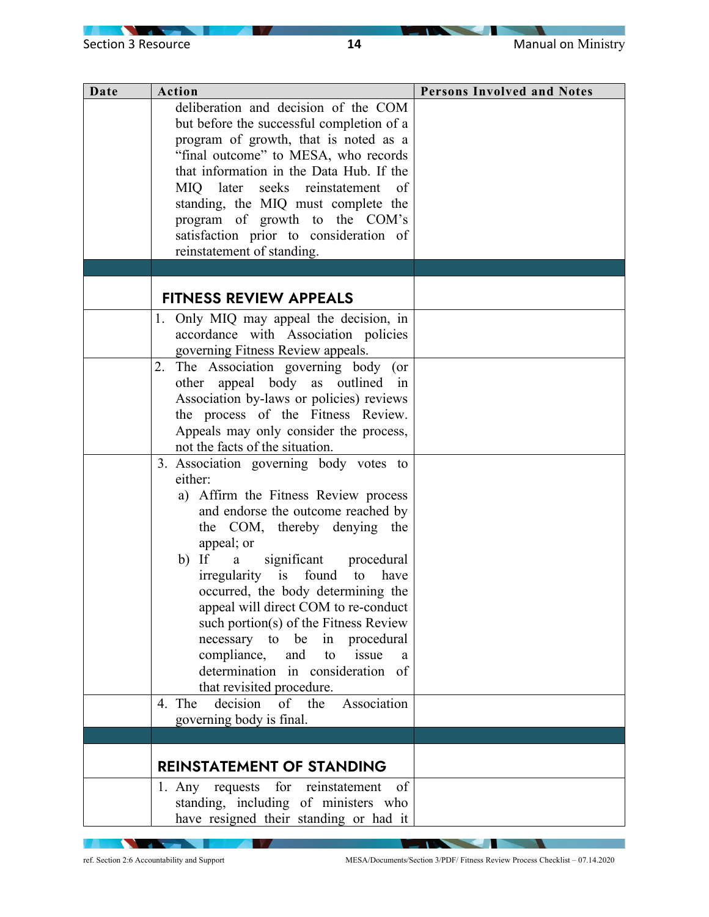| Date | <b>Action</b>                                 | <b>Persons Involved and Notes</b> |
|------|-----------------------------------------------|-----------------------------------|
|      | deliberation and decision of the COM          |                                   |
|      | but before the successful completion of a     |                                   |
|      | program of growth, that is noted as a         |                                   |
|      | "final outcome" to MESA, who records          |                                   |
|      | that information in the Data Hub. If the      |                                   |
|      | MIQ later seeks reinstatement<br>of           |                                   |
|      | standing, the MIQ must complete the           |                                   |
|      | program of growth to the COM's                |                                   |
|      | satisfaction prior to consideration of        |                                   |
|      | reinstatement of standing.                    |                                   |
|      |                                               |                                   |
|      |                                               |                                   |
|      | <b>FITNESS REVIEW APPEALS</b>                 |                                   |
|      | 1. Only MIQ may appeal the decision, in       |                                   |
|      | accordance with Association policies          |                                   |
|      | governing Fitness Review appeals.             |                                   |
|      | The Association governing body (or<br>2.      |                                   |
|      | other appeal body as outlined in              |                                   |
|      | Association by-laws or policies) reviews      |                                   |
|      | the process of the Fitness Review.            |                                   |
|      | Appeals may only consider the process,        |                                   |
|      | not the facts of the situation.               |                                   |
|      | 3. Association governing body votes to        |                                   |
|      | either:                                       |                                   |
|      | a) Affirm the Fitness Review process          |                                   |
|      | and endorse the outcome reached by            |                                   |
|      | the COM, thereby denying the                  |                                   |
|      | appeal; or                                    |                                   |
|      | $b)$ If<br>significant procedural<br>a        |                                   |
|      | irregularity is found<br>have<br>to           |                                   |
|      | occurred, the body determining the            |                                   |
|      | appeal will direct COM to re-conduct          |                                   |
|      | such portion(s) of the Fitness Review         |                                   |
|      | in procedural<br>necessary to be              |                                   |
|      | compliance,<br>and<br>issue<br>to<br>a        |                                   |
|      | determination in consideration of             |                                   |
|      | that revisited procedure.                     |                                   |
|      | Association<br>decision<br>of the<br>4. The   |                                   |
|      | governing body is final.                      |                                   |
|      |                                               |                                   |
|      |                                               |                                   |
|      | <b>REINSTATEMENT OF STANDING</b>              |                                   |
|      | for<br>1. Any requests<br>reinstatement<br>of |                                   |
|      | standing, including of ministers who          |                                   |
|      | have resigned their standing or had it        |                                   |

**NATION** 

**IV** 

ref. Section 2:6 Accountability and Support MESA/Documents/Section 3/PDF/ Fitness Review Process Checklist – 07.14.2020

N

**The Communication of the Communication**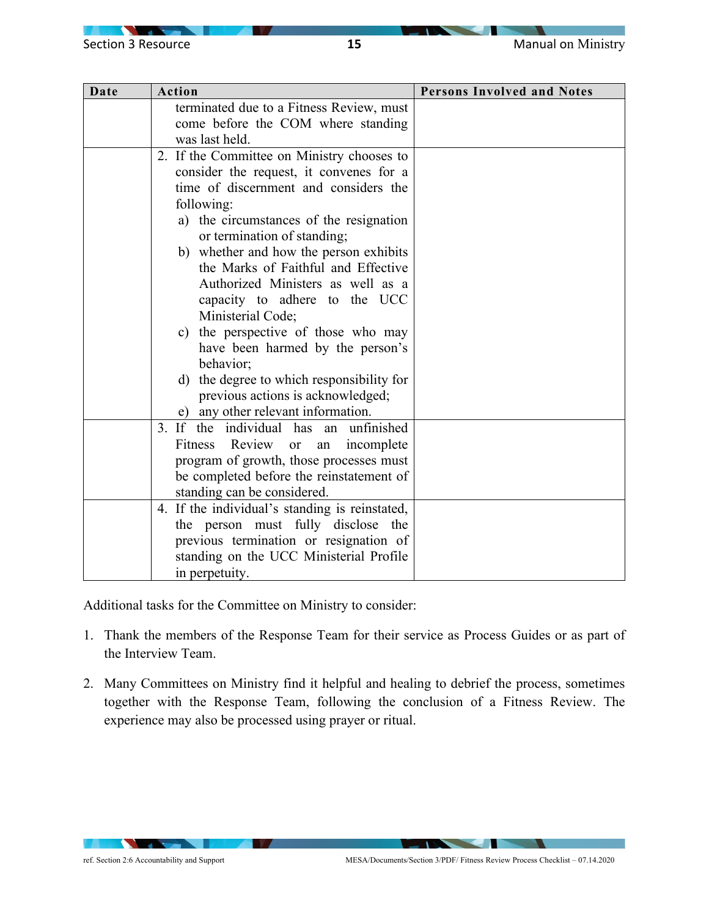| Date | Action                                             | <b>Persons Involved and Notes</b> |
|------|----------------------------------------------------|-----------------------------------|
|      | terminated due to a Fitness Review, must           |                                   |
|      | come before the COM where standing                 |                                   |
|      | was last held.                                     |                                   |
|      | 2. If the Committee on Ministry chooses to         |                                   |
|      | consider the request, it convenes for a            |                                   |
|      | time of discernment and considers the              |                                   |
|      | following:                                         |                                   |
|      | a) the circumstances of the resignation            |                                   |
|      | or termination of standing;                        |                                   |
|      | b) whether and how the person exhibits             |                                   |
|      | the Marks of Faithful and Effective                |                                   |
|      | Authorized Ministers as well as a                  |                                   |
|      | capacity to adhere to the UCC<br>Ministerial Code; |                                   |
|      | c) the perspective of those who may                |                                   |
|      | have been harmed by the person's                   |                                   |
|      | behavior;                                          |                                   |
|      | d) the degree to which responsibility for          |                                   |
|      | previous actions is acknowledged;                  |                                   |
|      | e) any other relevant information.                 |                                   |
|      | 3. If the individual has<br>an unfinished          |                                   |
|      | Review<br>Fitness<br>incomplete<br><b>or</b><br>an |                                   |
|      | program of growth, those processes must            |                                   |
|      | be completed before the reinstatement of           |                                   |
|      | standing can be considered.                        |                                   |
|      | 4. If the individual's standing is reinstated,     |                                   |
|      | the person must fully disclose<br>the              |                                   |
|      | previous termination or resignation of             |                                   |
|      | standing on the UCC Ministerial Profile            |                                   |
|      | in perpetuity.                                     |                                   |

Additional tasks for the Committee on Ministry to consider:

- 1. Thank the members of the Response Team for their service as Process Guides or as part of the Interview Team.
- 2. Many Committees on Ministry find it helpful and healing to debrief the process, sometimes together with the Response Team, following the conclusion of a Fitness Review. The experience may also be processed using prayer or ritual.

×